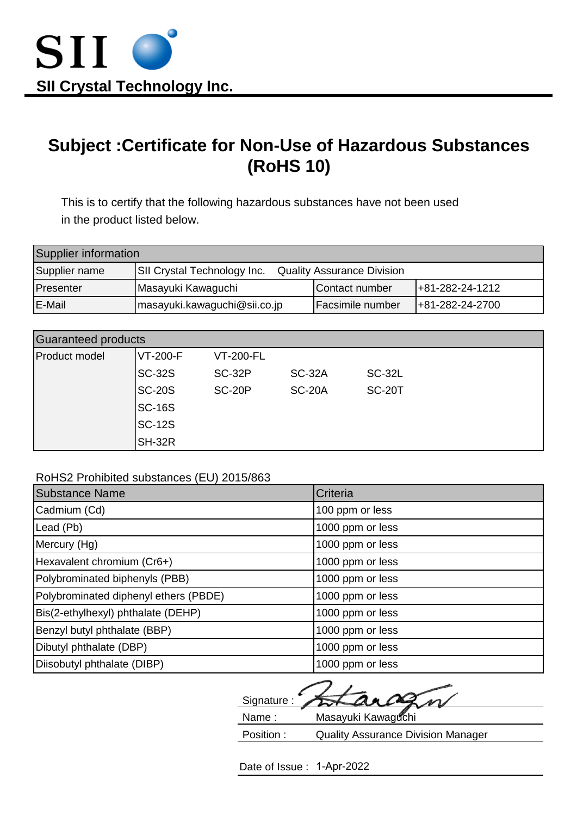

## **Subject :Certificate for Non-Use of Hazardous Substances (RoHS 10)**

This is to certify that the following hazardous substances have not been used in the product listed below.

| Supplier information |                              |                                   |                    |
|----------------------|------------------------------|-----------------------------------|--------------------|
| Supplier name        | SII Crystal Technology Inc.  | <b>Quality Assurance Division</b> |                    |
| Presenter            | Masayuki Kawaguchi           | Contact number                    | $ +81-282-24-1212$ |
| <b>E-Mail</b>        | masayuki.kawaguchi@sii.co.jp | <b>Facsimile number</b>           | $ +81-282-24-2700$ |

| Guaranteed products |               |                  |               |               |
|---------------------|---------------|------------------|---------------|---------------|
| Product model       | VT-200-F      | <b>VT-200-FL</b> |               |               |
|                     | <b>SC-32S</b> | <b>SC-32P</b>    | <b>SC-32A</b> | <b>SC-32L</b> |
|                     | $ SC-20S $    | <b>SC-20P</b>    | <b>SC-20A</b> | <b>SC-20T</b> |
|                     | <b>SC-16S</b> |                  |               |               |
|                     | <b>SC-12S</b> |                  |               |               |
|                     | SH-32R        |                  |               |               |

RoHS2 Prohibited substances (EU) 2015/863

| <b>Substance Name</b>                 | Criteria         |
|---------------------------------------|------------------|
| Cadmium (Cd)                          | 100 ppm or less  |
| Lead (Pb)                             | 1000 ppm or less |
| Mercury (Hg)                          | 1000 ppm or less |
| Hexavalent chromium (Cr6+)            | 1000 ppm or less |
| Polybrominated biphenyls (PBB)        | 1000 ppm or less |
| Polybrominated diphenyl ethers (PBDE) | 1000 ppm or less |
| Bis(2-ethylhexyl) phthalate (DEHP)    | 1000 ppm or less |
| Benzyl butyl phthalate (BBP)          | 1000 ppm or less |
| Dibutyl phthalate (DBP)               | 1000 ppm or less |
| Diisobutyl phthalate (DIBP)           | 1000 ppm or less |

 Signature :  $\mathcal{L}$ Name : Masayuki Kawaguchi Position : Quality Assurance Division Manager

Date of Issue : 1-Apr-2022